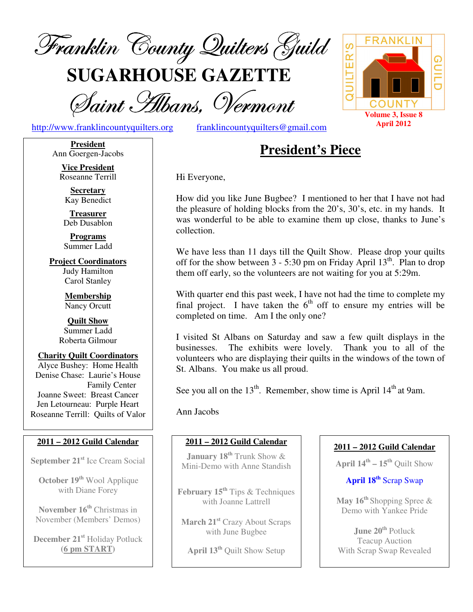

**SUGARHOUSE GAZETTE**

Saint Albans, Vermont

http://www.franklincountyquilters.org franklincountyquilters@gmail.com



#### **President** Ann Goergen-Jacobs

**Vice President** Roseanne Terrill

**Secretary** Kay Benedict

**Treasurer** Deb Dusablon

**Programs** Summer Ladd

**Project Coordinators** Judy Hamilton Carol Stanley

> **Membership** Nancy Orcutt

**Quilt Show** Summer Ladd Roberta Gilmour

#### **Charity Quilt Coordinators** Alyce Bushey: Home Health Denise Chase: Laurie's House Family Center Joanne Sweet: Breast Cancer Jen Letourneau: Purple Heart Roseanne Terrill: Quilts of Valor

# **2011 – 2012 Guild Calendar**

**September 21 st** Ice Cream Social

**October 19 th** Wool Applique with Diane Forey

**November 16 th** Christmas in November (Members' Demos)

**December 21 st** Holiday Potluck **(6 pm START)**

# **President's Piece**

Hi Everyone,

How did you like June Bugbee? I mentioned to her that I have not had the pleasure of holding blocks from the 20's, 30's, etc. in my hands. It was wonderful to be able to examine them up close, thanks to June's collection.

We have less than 11 days till the Quilt Show. Please drop your quilts off for the show between  $3 - 5:30$  pm on Friday April  $13<sup>th</sup>$ . Plan to drop them off early, so the volunteers are not waiting for you at 5:29m.

With quarter end this past week, I have not had the time to complete my final project. I have taken the  $6<sup>th</sup>$  off to ensure my entries will be completed on time. Am I the only one?

I visited St Albans on Saturday and saw a few quilt displays in the businesses. The exhibits were lovely. Thank you to all of the volunteers who are displaying their quilts in the windows of the town of St. Albans. You make us all proud.

See you all on the  $13<sup>th</sup>$ . Remember, show time is April  $14<sup>th</sup>$  at 9am.

Ann Jacobs

# **2011 – 2012 Guild Calendar**

**January 18 th** Trunk Show & Mini-Demo with Anne Standish

**February 15 th** Tips & Techniques with Joanne Lattrell

**March 21 st** Crazy About Scraps with June Bugbee

**April 13 th** Quilt Show Setup

# **2011 – 2012 Guild Calendar**

**April 14 th – 15 th** Quilt Show

# **April 18 th** Scrap Swap

**May 16 th** Shopping Spree & Demo with Yankee Pride

**June 20 th** Potluck Teacup Auction With Scrap Swap Revealed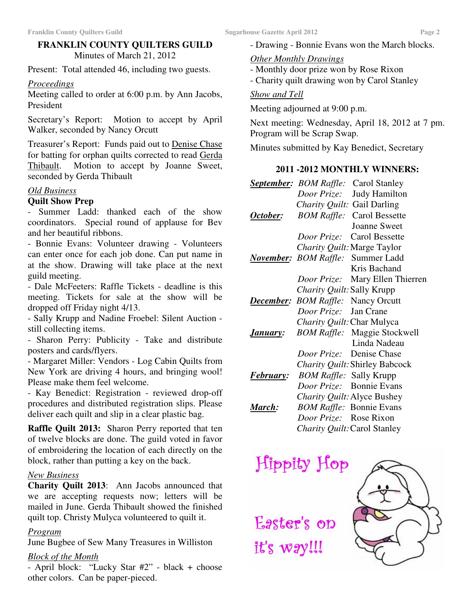# **FRANKLIN COUNTY QUILTERS GUILD** Minutes of March 21, 2012

Present: Total attended 46, including two guests.

#### *Proceedings*

Meeting called to order at 6:00 p.m. by Ann Jacobs, President

Secretary's Report: Motion to accept by April Walker, seconded by Nancy Orcutt

Treasurer's Report: Funds paid out to Denise Chase for batting for orphan quilts corrected to read Gerda Thibault. Motion to accept by Joanne Sweet, seconded by Gerda Thibault

## *Old Business*

#### **Quilt Show Prep**

- Summer Ladd: thanked each of the show coordinators. Special round of applause for Bev and her beautiful ribbons.

- Bonnie Evans: Volunteer drawing - Volunteers can enter once for each job done. Can put name in at the show. Drawing will take place at the next guild meeting.

- Dale McFeeters: Raffle Tickets - deadline is this meeting. Tickets for sale at the show will be dropped off Friday night 4/13.

- Sally Krupp and Nadine Froebel: Silent Auction still collecting items.

- Sharon Perry: Publicity - Take and distribute posters and cards/flyers.

- Margaret Miller: Vendors - Log Cabin Quilts from New York are driving 4 hours, and bringing wool! Please make them feel welcome.

- Kay Benedict: Registration - reviewed drop-off procedures and distributed registration slips. Please deliver each quilt and slip in a clear plastic bag.

**Raffle Quilt 2013:** Sharon Perry reported that ten of twelve blocks are done. The guild voted in favor of embroidering the location of each directly on the block, rather than putting a key on the back.

#### *New Business*

**Charity Quilt 2013**: Ann Jacobs announced that we are accepting requests now; letters will be mailed in June. Gerda Thibault showed the finished quilt top. Christy Mulyca volunteered to quilt it.

#### *Program*

June Bugbee of Sew Many Treasures in Williston

#### *Block of the Month*

- April block: "Lucky Star #2" - black + choose other colors. Can be paper-pieced.

- Drawing - Bonnie Evans won the March blocks.

#### *Other Monthly Drawings*

- Monthly door prize won by Rose Rixon
- Charity quilt drawing won by Carol Stanley

#### *Show and Tell*

Meeting adjourned at 9:00 p.m.

Next meeting: Wednesday, April 18, 2012 at 7 pm. Program will be Scrap Swap.

Minutes submitted by Kay Benedict, Secretary

#### **2011 -2012 MONTHLY WINNERS:**

|                  |                                           | <b>September:</b> BOM Raffle: Carol Stanley |
|------------------|-------------------------------------------|---------------------------------------------|
|                  |                                           | Door Prize: Judy Hamilton                   |
|                  | Charity Quilt: Gail Darling               |                                             |
| October:         |                                           | <b>BOM Raffle:</b> Carol Bessette           |
|                  |                                           | <b>Joanne Sweet</b>                         |
|                  |                                           | Door Prize: Carol Bessette                  |
|                  |                                           | Charity Quilt: Marge Taylor                 |
|                  |                                           | <b>November:</b> BOM Raffle: Summer Ladd    |
|                  |                                           | Kris Bachand                                |
|                  |                                           | Door Prize: Mary Ellen Thierren             |
|                  | Charity Quilt: Sally Krupp                |                                             |
|                  | <b>December:</b> BOM Raffle: Nancy Orcutt |                                             |
|                  | Door Prize: Jan Crane                     |                                             |
|                  |                                           | Charity Quilt: Char Mulyca                  |
| January:         |                                           | <b>BOM Raffle:</b> Maggie Stockwell         |
|                  |                                           | Linda Nadeau                                |
|                  |                                           | Door Prize: Denise Chase                    |
|                  |                                           | Charity Quilt: Shirley Babcock              |
| <i>February:</i> | <i>BOM Raffle:</i> Sally Krupp            |                                             |
|                  |                                           | Door Prize: Bonnie Evans                    |
|                  |                                           | Charity Quilt: Alyce Bushey                 |
| <u> March:</u>   |                                           | <b>BOM Raffle: Bonnie Evans</b>             |
|                  | Door Prize: Rose Rixon                    |                                             |
|                  |                                           | Charity Quilt: Carol Stanley                |

Easter's op

it's way!!!

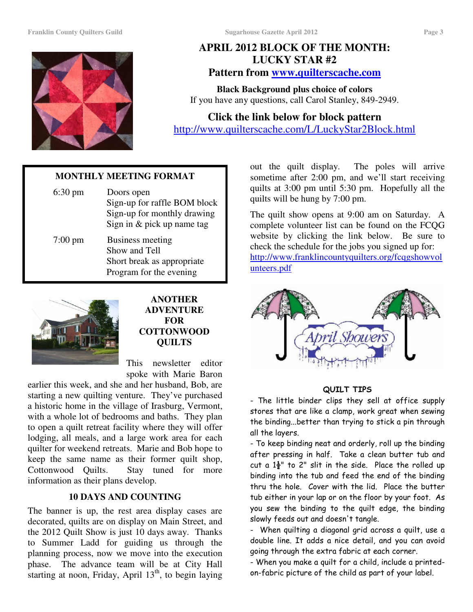#### **Franklin County Quilters Guild Sugarhouse Gazette April 2012 Page 3**



# **APRIL 2012 BLOCK OF THE MONTH: LUCKY STAR #2 Pattern from www.quilterscache.com**

**Black Background plus choice of colors** If you have any questions, call Carol Stanley, 849-2949.

**Click the link below for block pattern** http://www.quilterscache.com/L/LuckyStar2Block.html

# **MONTHLY MEETING FORMAT**

| $6:30 \text{ pm}$ | Doors open<br>Sign-up for raffle BOM block<br>Sign-up for monthly drawing<br>Sign in & pick up name tag |
|-------------------|---------------------------------------------------------------------------------------------------------|
| $7:00 \text{ pm}$ | Business meeting<br>Show and Tell<br>Short break as appropriate<br>Program for the evening              |



**ANOTHER ADVENTURE FOR COTTONWOOD QUILTS**

This newsletter editor spoke with Marie Baron

earlier this week, and she and her husband, Bob, are starting a new quilting venture. They've purchased a historic home in the village of Irasburg, Vermont, with a whole lot of bedrooms and baths. They plan to open a quilt retreat facility where they will offer lodging, all meals, and a large work area for each quilter for weekend retreats. Marie and Bob hope to keep the same name as their former quilt shop, Cottonwood Quilts. Stay tuned for more information as their plans develop.

#### **10 DAYS AND COUNTING**

The banner is up, the rest area display cases are decorated, quilts are on display on Main Street, and the 2012 Quilt Show is just 10 days away. Thanks to Summer Ladd for guiding us through the planning process, now we move into the execution phase. The advance team will be at City Hall starting at noon, Friday, April 13<sup>th</sup>, to begin laying

out the quilt display. The poles will arrive sometime after 2:00 pm, and we'll start receiving quilts at 3:00 pm until 5:30 pm. Hopefully all the quilts will be hung by 7:00 pm.

The quilt show opens at 9:00 am on Saturday. A complete volunteer list can be found on the FCQG website by clicking the link below. Be sure to check the schedule for the jobs you signed up for: http://www.franklincountyquilters.org/fcqgshowvol unteers.pdf



#### QUILT TIPS

- The little binder clips they sell at office supply stores that are like a clamp, work great when sewing the binding...better than trying to stick a pin through all the layers.

- To keep binding neat and orderly, roll up the binding after pressing in half. Take a clean butter tub and cut a  $1\frac{1}{2}$ " to 2" slit in the side. Place the rolled up binding into the tub and feed the end of the binding thru the hole. Cover with the lid. Place the butter tub either in your lap or on the floor by your foot. As you sew the binding to the quilt edge, the binding slowly feeds out and doesn't tangle.

- When quilting a diagonal grid across a quilt, use a double line. It adds a nice detail, and you can avoid going through the extra fabric at each corner.

- When you make a quilt for a child, include a printedon-fabric picture of the child as part of your label.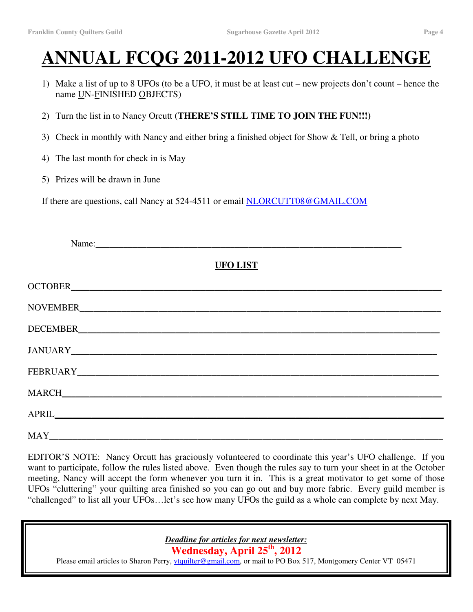# **ANNUAL FCQG 2011-2012 UFO CHALLENGE**

- 1) Make a list of up to 8 UFOs (to be a UFO, it must be at least cut new projects don't count hence the name UN-FINISHED OBJECTS)
- 2) Turn the list in to Nancy Orcutt **(THERE'S STILL TIME TO JOIN THE FUN!!!)**
- 3) Check in monthly with Nancy and either bring a finished object for Show & Tell, or bring a photo
- 4) The last month for check in is May
- 5) Prizes will be drawn in June

If there are questions, call Nancy at 524-4511 or email NLORCUTT08@GMAIL.COM

| Name:                |  |
|----------------------|--|
| <b>UFO LIST</b>      |  |
|                      |  |
|                      |  |
|                      |  |
|                      |  |
|                      |  |
|                      |  |
|                      |  |
| $\operatorname{MAY}$ |  |

EDITOR'S NOTE: Nancy Orcutt has graciously volunteered to coordinate this year's UFO challenge. If you want to participate, follow the rules listed above. Even though the rules say to turn your sheet in at the October meeting, Nancy will accept the form whenever you turn it in. This is a great motivator to get some of those UFOs "cluttering" your quilting area finished so you can go out and buy more fabric. Every guild member is "challenged" to list all your UFOs…let's see how many UFOs the guild as a whole can complete by next May.

*Deadline for articles for next newsletter:*

**Wednesday, April 25 th , 2012**

Please email articles to Sharon Perry, *vtquilter@gmail.com*, or mail to PO Box 517, Montgomery Center VT 05471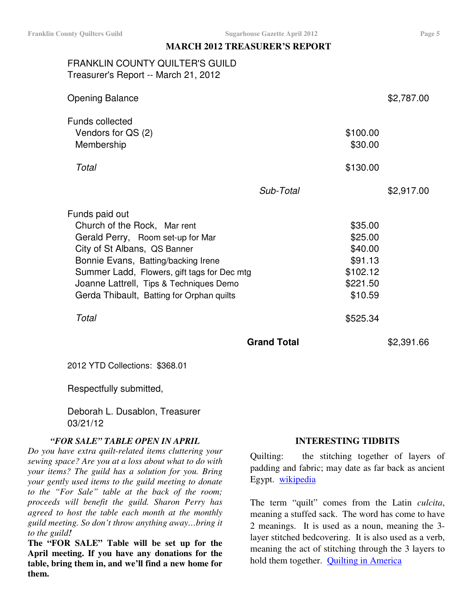#### **MARCH 2012 TREASURER'S REPORT**

# FRANKLIN COUNTY QUILTER'S GUILD Treasurer's Report -- March 21, 2012

| <b>Opening Balance</b>                                     |           | \$2,787.00          |
|------------------------------------------------------------|-----------|---------------------|
| <b>Funds collected</b><br>Vendors for QS (2)<br>Membership |           | \$100.00<br>\$30.00 |
| Total                                                      |           | \$130.00            |
|                                                            | Sub-Total | \$2,917.00          |
| Funds paid out                                             |           |                     |
| Church of the Rock, Mar rent                               |           | \$35.00             |
| Gerald Perry, Room set-up for Mar                          |           | \$25.00             |
| City of St Albans, QS Banner                               |           | \$40.00             |
| Bonnie Evans, Batting/backing Irene                        |           | \$91.13             |
| Summer Ladd, Flowers, gift tags for Dec mtg                |           | \$102.12            |
| Joanne Lattrell, Tips & Techniques Demo                    |           | \$221.50            |
| Gerda Thibault, Batting for Orphan quilts                  |           | \$10.59             |
| Total                                                      |           | \$525.34            |
|                                                            |           |                     |

**Grand Total** \$2,391.66

2012 YTD Collections: \$368.01

Respectfully submitted,

Deborah L. Dusablon, Treasurer 03/21/12

#### *"FOR SALE" TABLE OPEN IN APRIL*

*Do you have extra quilt-related items cluttering your sewing space? Are you at a loss about what to do with your items? The guild has a solution for you. Bring your gently used items to the guild meeting to donate to the "For Sale" table at the back of the room; proceeds will benefit the guild. Sharon Perry has agreed to host the table each month at the monthly guild meeting. So don't throw anything away…bring it to the guild!*

**The "FOR SALE" Table will be set up for the April meeting. If you have any donations for the table, bring them in, and we'll find a new home for them.**

#### **INTERESTING TIDBITS**

Quilting: the stitching together of layers of padding and fabric; may date as far back as ancient Egypt. wikipedia

The term "quilt" comes from the Latin *culcita*, meaning a stuffed sack. The word has come to have 2 meanings. It is used as a noun, meaning the 3 layer stitched bedcovering. It is also used as a verb, meaning the act of stitching through the 3 layers to hold them together. Quilting in America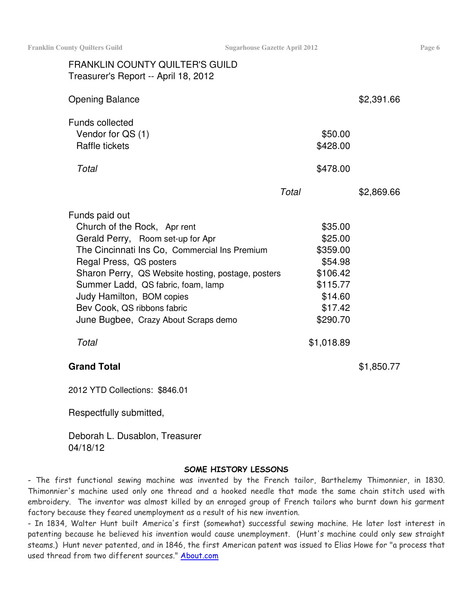| <b>FRANKLIN COUNTY QUILTER'S GUILD</b><br>Treasurer's Report -- April 18, 2012                                                                                                                                                                                                                                                                                  |                                                                                                     |            |
|-----------------------------------------------------------------------------------------------------------------------------------------------------------------------------------------------------------------------------------------------------------------------------------------------------------------------------------------------------------------|-----------------------------------------------------------------------------------------------------|------------|
| <b>Opening Balance</b>                                                                                                                                                                                                                                                                                                                                          |                                                                                                     | \$2,391.66 |
| <b>Funds collected</b><br>Vendor for QS (1)<br>Raffle tickets                                                                                                                                                                                                                                                                                                   | \$50.00<br>\$428.00                                                                                 |            |
| Total                                                                                                                                                                                                                                                                                                                                                           | \$478.00                                                                                            |            |
|                                                                                                                                                                                                                                                                                                                                                                 | Total                                                                                               | \$2,869.66 |
| Funds paid out<br>Church of the Rock, Apr rent<br>Gerald Perry, Room set-up for Apr<br>The Cincinnati Ins Co, Commercial Ins Premium<br>Regal Press, QS posters<br>Sharon Perry, QS Website hosting, postage, posters<br>Summer Ladd, QS fabric, foam, lamp<br>Judy Hamilton, BOM copies<br>Bev Cook, QS ribbons fabric<br>June Bugbee, Crazy About Scraps demo | \$35.00<br>\$25.00<br>\$359.00<br>\$54.98<br>\$106.42<br>\$115.77<br>\$14.60<br>\$17.42<br>\$290.70 |            |
| Total                                                                                                                                                                                                                                                                                                                                                           | \$1,018.89                                                                                          |            |
| <b>Grand Total</b>                                                                                                                                                                                                                                                                                                                                              |                                                                                                     | \$1,850.77 |
| 2012 YTD Collections: \$846.01                                                                                                                                                                                                                                                                                                                                  |                                                                                                     |            |
| Respectfully submitted,                                                                                                                                                                                                                                                                                                                                         |                                                                                                     |            |

Deborah L. Dusablon, Treasurer

04/18/12

#### SOME HISTORY LESSONS – The first functional sewing machine was invented by the French tailor, Barthelemy Thimonnier, in 1830. Thimonnier's machine used only one thread and a hooked needle that made the same chain stitch used with embroidery. The inventor was almost killed by an enraged group of French tailors who burnt down his garment factory because they feared unemployment as a result of his new invention.

- In 1834, Walter Hunt built America's first (somewhat) successful sewing machine. He later lost interest in patenting because he believed his invention would cause unemployment. (Hunt's machine could only sew straight steams.) Hunt never patented, and in 1846, the first American patent was issued to Elias Howe for "a process that used thread from two different sources." <u>About.com</u>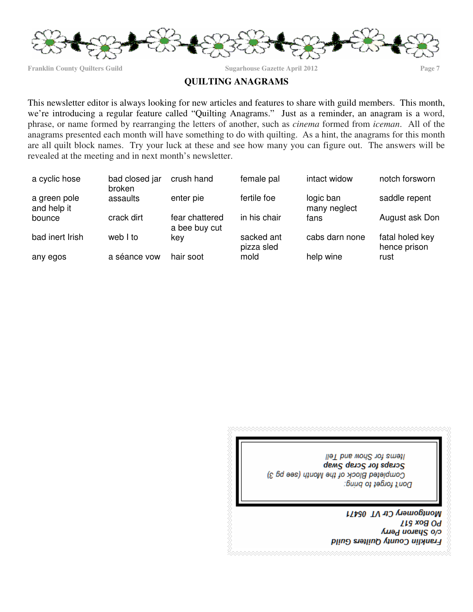

**Franklin County Quilters Guild Sugarhouse Gazette April 2012 Page 7**

## **QUILTING ANAGRAMS**

This newsletter editor is always looking for new articles and features to share with guild members. This month, we're introducing a regular feature called "Quilting Anagrams." Just as a reminder, an anagram is a word, phrase, or name formed by rearranging the letters of another, such as *cinema* formed from *iceman*. All of the anagrams presented each month will have something to do with quilting. As a hint, the anagrams for this month are all quilt block names. Try your luck at these and see how many you can figure out. The answers will be revealed at the meeting and in next month's newsletter.

| a cyclic hose               | bad closed jar<br>broken | crush hand                      | female pal               | intact widow              | notch forsworn                  |
|-----------------------------|--------------------------|---------------------------------|--------------------------|---------------------------|---------------------------------|
| a green pole<br>and help it | assaults                 | enter pie                       | fertile foe              | logic ban<br>many neglect | saddle repent                   |
| bounce                      | crack dirt               | fear chattered<br>a bee buy cut | in his chair             | fans                      | August ask Don                  |
| bad inert Irish             | web I to                 | kev                             | sacked ant<br>pizza sled | cabs darn none            | fatal holed key<br>hence prison |
| any egos                    | a séance vow             | hair soot                       | mold                     | help wine                 | rust                            |



Montgomery Ctr VT 05471 **LLS xo& OA** C/o Shanon Perry Franklin County Quilters Guild